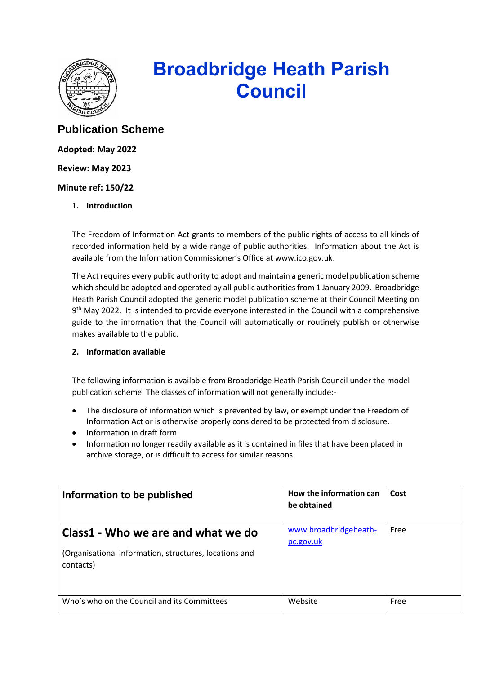

# **Broadbridge Heath Parish Council**

## **Publication Scheme**

**Adopted: May 2022**

**Review: May 2023**

**Minute ref: 150/22**

**1. Introduction**

The Freedom of Information Act grants to members of the public rights of access to all kinds of recorded information held by a wide range of public authorities. Information about the Act is available from the Information Commissioner's Office at www.ico.gov.uk.

The Act requires every public authority to adopt and maintain a generic model publication scheme which should be adopted and operated by all public authorities from 1 January 2009. Broadbridge Heath Parish Council adopted the generic model publication scheme at their Council Meeting on 9<sup>th</sup> May 2022. It is intended to provide everyone interested in the Council with a comprehensive guide to the information that the Council will automatically or routinely publish or otherwise makes available to the public.

### **2. Information available**

The following information is available from Broadbridge Heath Parish Council under the model publication scheme. The classes of information will not generally include:-

- The disclosure of information which is prevented by law, or exempt under the Freedom of Information Act or is otherwise properly considered to be protected from disclosure.
- Information in draft form.
- Information no longer readily available as it is contained in files that have been placed in archive storage, or is difficult to access for similar reasons.

| Information to be published                                                                               | How the information can<br>be obtained | Cost |
|-----------------------------------------------------------------------------------------------------------|----------------------------------------|------|
| Class1 - Who we are and what we do<br>(Organisational information, structures, locations and<br>contacts) | www.broadbridgeheath-<br>pc.gov.uk     | Free |
| Who's who on the Council and its Committees                                                               | Website                                | Free |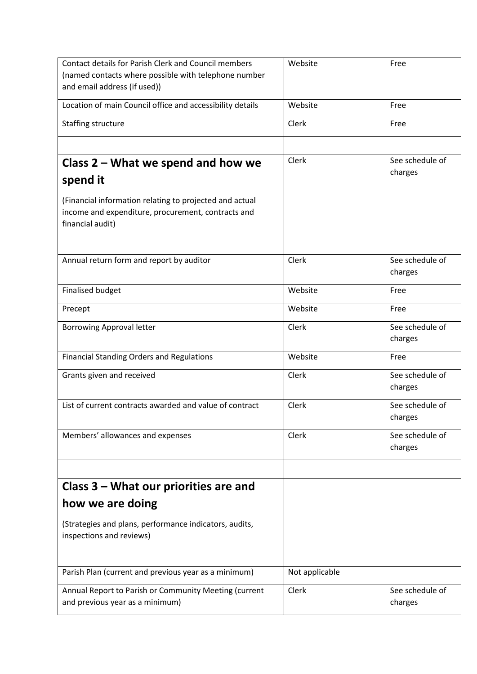| <b>Contact details for Parish Clerk and Council members</b> | Website        | Free            |
|-------------------------------------------------------------|----------------|-----------------|
| (named contacts where possible with telephone number        |                |                 |
| and email address (if used))                                |                |                 |
| Location of main Council office and accessibility details   | Website        | Free            |
| Staffing structure                                          | Clerk          | Free            |
|                                                             |                |                 |
| Class 2 - What we spend and how we                          | <b>Clerk</b>   | See schedule of |
| spend it                                                    |                | charges         |
| (Financial information relating to projected and actual     |                |                 |
| income and expenditure, procurement, contracts and          |                |                 |
| financial audit)                                            |                |                 |
|                                                             |                |                 |
| Annual return form and report by auditor                    | Clerk          | See schedule of |
|                                                             |                | charges         |
| <b>Finalised budget</b>                                     | Website        | Free            |
| Precept                                                     | Website        | Free            |
| <b>Borrowing Approval letter</b>                            | Clerk          | See schedule of |
|                                                             |                | charges         |
| <b>Financial Standing Orders and Regulations</b>            | Website        | Free            |
| Grants given and received                                   | Clerk          | See schedule of |
|                                                             |                | charges         |
| List of current contracts awarded and value of contract     | Clerk          | See schedule of |
|                                                             |                | charges         |
|                                                             |                |                 |
| Members' allowances and expenses                            | Clerk          | See schedule of |
|                                                             |                | charges         |
|                                                             |                |                 |
| Class 3 – What our priorities are and                       |                |                 |
| how we are doing                                            |                |                 |
| (Strategies and plans, performance indicators, audits,      |                |                 |
| inspections and reviews)                                    |                |                 |
|                                                             |                |                 |
| Parish Plan (current and previous year as a minimum)        | Not applicable |                 |
| Annual Report to Parish or Community Meeting (current       | Clerk          | See schedule of |
| and previous year as a minimum)                             |                | charges         |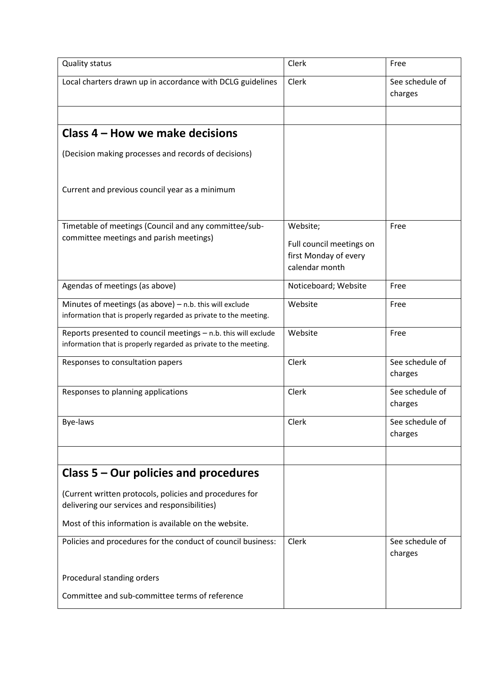| <b>Quality status</b>                                                                                                              | Clerk                                                                           | Free                       |
|------------------------------------------------------------------------------------------------------------------------------------|---------------------------------------------------------------------------------|----------------------------|
| Local charters drawn up in accordance with DCLG guidelines                                                                         | Clerk                                                                           | See schedule of<br>charges |
|                                                                                                                                    |                                                                                 |                            |
| Class 4 – How we make decisions                                                                                                    |                                                                                 |                            |
| (Decision making processes and records of decisions)                                                                               |                                                                                 |                            |
| Current and previous council year as a minimum                                                                                     |                                                                                 |                            |
| Timetable of meetings (Council and any committee/sub-<br>committee meetings and parish meetings)                                   | Website;<br>Full council meetings on<br>first Monday of every<br>calendar month | Free                       |
| Agendas of meetings (as above)                                                                                                     | Noticeboard; Website                                                            | Free                       |
| Minutes of meetings (as above) $-$ n.b. this will exclude<br>information that is properly regarded as private to the meeting.      | Website                                                                         | Free                       |
| Reports presented to council meetings - n.b. this will exclude<br>information that is properly regarded as private to the meeting. | Website                                                                         | Free                       |
| Responses to consultation papers                                                                                                   | Clerk                                                                           | See schedule of<br>charges |
| Responses to planning applications                                                                                                 | Clerk                                                                           | See schedule of<br>charges |
| Bye-laws                                                                                                                           | Clerk                                                                           | See schedule of<br>charges |
| Class $5 -$ Our policies and procedures                                                                                            |                                                                                 |                            |
| (Current written protocols, policies and procedures for<br>delivering our services and responsibilities)                           |                                                                                 |                            |
| Most of this information is available on the website.                                                                              |                                                                                 |                            |
| Policies and procedures for the conduct of council business:                                                                       | Clerk                                                                           | See schedule of<br>charges |
| Procedural standing orders                                                                                                         |                                                                                 |                            |
| Committee and sub-committee terms of reference                                                                                     |                                                                                 |                            |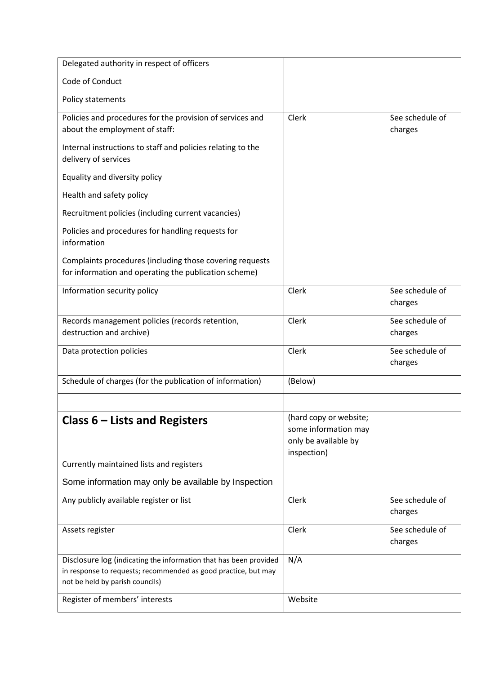| Delegated authority in respect of officers                                                                        |                                              |                            |
|-------------------------------------------------------------------------------------------------------------------|----------------------------------------------|----------------------------|
| Code of Conduct                                                                                                   |                                              |                            |
| Policy statements                                                                                                 |                                              |                            |
| Policies and procedures for the provision of services and<br>about the employment of staff:                       | Clerk                                        | See schedule of            |
|                                                                                                                   |                                              | charges                    |
| Internal instructions to staff and policies relating to the<br>delivery of services                               |                                              |                            |
| Equality and diversity policy                                                                                     |                                              |                            |
| Health and safety policy                                                                                          |                                              |                            |
| Recruitment policies (including current vacancies)                                                                |                                              |                            |
| Policies and procedures for handling requests for<br>information                                                  |                                              |                            |
| Complaints procedures (including those covering requests<br>for information and operating the publication scheme) |                                              |                            |
| Information security policy                                                                                       | Clerk                                        | See schedule of<br>charges |
| Records management policies (records retention,<br>destruction and archive)                                       | Clerk                                        | See schedule of<br>charges |
| Data protection policies                                                                                          | Clerk                                        | See schedule of<br>charges |
| Schedule of charges (for the publication of information)                                                          | (Below)                                      |                            |
|                                                                                                                   |                                              |                            |
| Class $6$ – Lists and Registers                                                                                   | (hard copy or website;                       |                            |
|                                                                                                                   | some information may<br>only be available by |                            |
|                                                                                                                   | inspection)                                  |                            |
| Currently maintained lists and registers                                                                          |                                              |                            |
| Some information may only be available by Inspection                                                              |                                              |                            |
| Any publicly available register or list                                                                           | Clerk                                        | See schedule of<br>charges |
| Assets register                                                                                                   | Clerk                                        | See schedule of<br>charges |
| Disclosure log (indicating the information that has been provided                                                 | N/A                                          |                            |
| in response to requests; recommended as good practice, but may<br>not be held by parish councils)                 |                                              |                            |
| Register of members' interests                                                                                    | Website                                      |                            |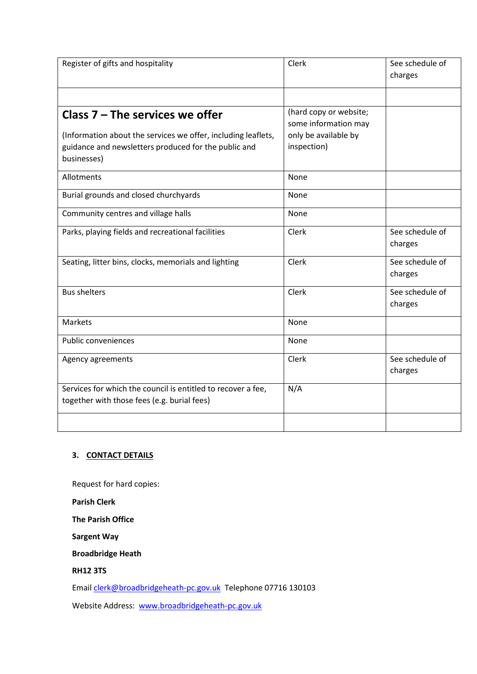| Register of gifts and hospitality                             | Clerk                                          | See schedule of |
|---------------------------------------------------------------|------------------------------------------------|-----------------|
|                                                               |                                                | charges         |
|                                                               |                                                |                 |
|                                                               |                                                |                 |
| Class $7 -$ The services we offer                             | (hard copy or website;<br>some information may |                 |
| (Information about the services we offer, including leaflets, | only be available by                           |                 |
| guidance and newsletters produced for the public and          | inspection)                                    |                 |
| businesses)                                                   |                                                |                 |
|                                                               |                                                |                 |
| Allotments                                                    | None                                           |                 |
| Burial grounds and closed churchyards                         | None                                           |                 |
| Community centres and village halls                           | None                                           |                 |
| Parks, playing fields and recreational facilities             | Clerk                                          | See schedule of |
|                                                               |                                                | charges         |
| Seating, litter bins, clocks, memorials and lighting          | Clerk                                          | See schedule of |
|                                                               |                                                | charges         |
| <b>Bus shelters</b>                                           | Clerk                                          | See schedule of |
|                                                               |                                                | charges         |
| Markets                                                       | None                                           |                 |
| Public conveniences                                           | None                                           |                 |
| Agency agreements                                             | Clerk                                          | See schedule of |
|                                                               |                                                | charges         |
| Services for which the council is entitled to recover a fee,  | N/A                                            |                 |
| together with those fees (e.g. burial fees)                   |                                                |                 |
|                                                               |                                                |                 |
|                                                               |                                                |                 |

## **3. CONTACT DETAILS**

Request for hard copies:

**Parish Clerk**

**The Parish Office**

**Sargent Way**

**Broadbridge Heath**

#### **RH12 3TS**

Email [clerk@broadbridgeheath-pc.gov.uk](mailto:clerk@broadbridgeheath-pc.gov.uk) Telephone 07716 130103

Website Address: [www.broadbridgeheath-pc.gov.uk](http://www.broadbridgeheath-pc.gov.uk/)